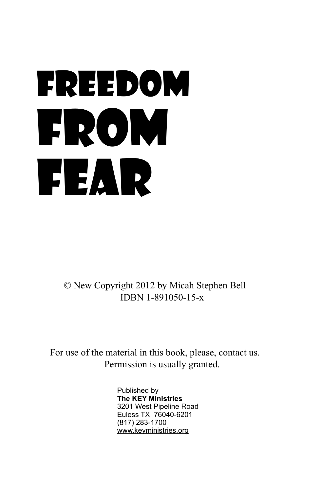# Freedom From Fear

© New Copyright 2012 by Micah Stephen Bell IDBN 1-891050-15-x

For use of the material in this book, please, contact us. Permission is usually granted.

> Published by **The KEY Ministries** 3201 West Pipeline Road Euless TX 76040-6201 (817) 283-1700 www.keyministries.org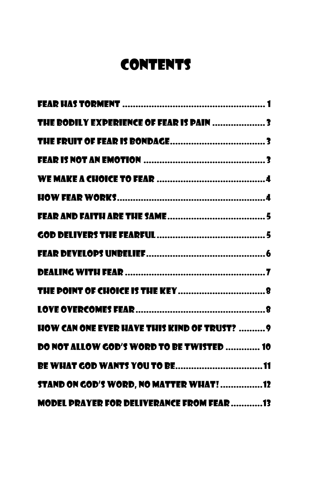# **CONTENTS**

| THE BODILY EXPERIENCE OF FEAR IS PAIN 3             |  |
|-----------------------------------------------------|--|
|                                                     |  |
|                                                     |  |
|                                                     |  |
|                                                     |  |
|                                                     |  |
|                                                     |  |
|                                                     |  |
|                                                     |  |
|                                                     |  |
|                                                     |  |
| <b>HOW CAN ONE EVER HAVE THIS KIND OF TRUST?  9</b> |  |
| DO NOT ALLOW GOD'S WORD TO BE TWISTED  10           |  |
|                                                     |  |
| <b>STAND ON GOD'S WORD, NO MATTER WHAT!12</b>       |  |
| MODEL PRAYER FOR DELIVERANCE FROM FEAR 13           |  |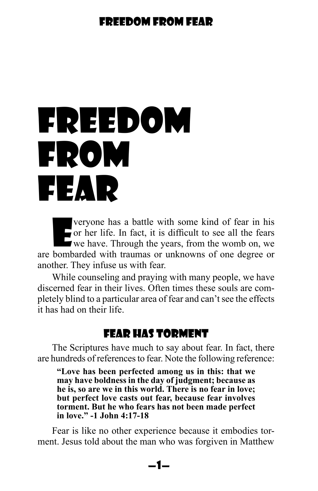# <span id="page-2-0"></span>Freedom From Fear

veryone has a battle with some kind of fear in his<br>or her life. In fact, it is difficult to see all the fears<br>we have. Through the years, from the womb on, we or her life. In fact, it is difficult to see all the fears we have. Through the years, from the womb on, we are bombarded with traumas or unknowns of one degree or another. They infuse us with fear.

While counseling and praying with many people, we have discerned fear in their lives. Often times these souls are completely blind to a particular area of fear and can't see the effects it has had on their life.

# Fear Has Torment

The Scriptures have much to say about fear. In fact, there are hundreds of references to fear. Note the following reference:

**"Love has been perfected among us in this: that we may have boldness in the day of judgment; because as he is, so are we in this world. There is no fear in love; but perfect love casts out fear, because fear involves torment. But he who fears has not been made perfect in love." -1 John 4:17-18**

Fear is like no other experience because it embodies torment. Jesus told about the man who was forgiven in Matthew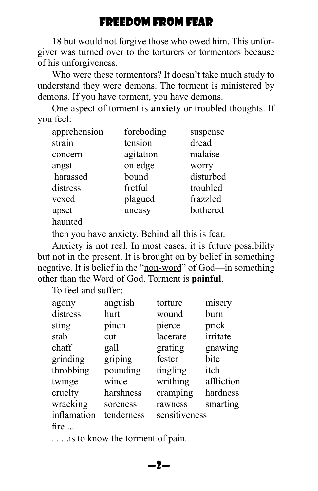18 but would not forgive those who owed him. This unforgiver was turned over to the torturers or tormentors because of his unforgiveness.

Who were these tormentors? It doesn't take much study to understand they were demons. The torment is ministered by demons. If you have torment, you have demons.

One aspect of torment is **anxiety** or troubled thoughts. If you feel:

| foreboding | suspense  |
|------------|-----------|
| tension    | dread     |
| agitation  | malaise   |
| on edge    | worry     |
| bound      | disturbed |
| fretful    | troubled  |
| plagued    | frazzled  |
| uneasy     | bothered  |
|            |           |
|            |           |

then you have anxiety. Behind all this is fear.

Anxiety is not real. In most cases, it is future possibility but not in the present. It is brought on by belief in something negative. It is belief in the "non-word" of God—in something other than the Word of God. Torment is **painful**.

To feel and suffer:

|               |            |               | misery     |
|---------------|------------|---------------|------------|
| agony         | anguish    | torture       |            |
| distress      | hurt       | wound         | burn       |
| sting         | pinch      | pierce        | prick      |
| stab          | cut        | lacerate      | irritate   |
| chaff         | gall       | grating       | gnawing    |
| grinding      | griping    | fester        | bite       |
| throbbing     | pounding   | tingling      | itch       |
| twinge        | wince      | writhing      | affliction |
| cruelty       | harshness  | cramping      | hardness   |
| wracking      | soreness   | rawness       | smarting   |
| inflamation   | tenderness | sensitiveness |            |
| fire $\ldots$ |            |               |            |

. . . .is to know the torment of pain.

—2—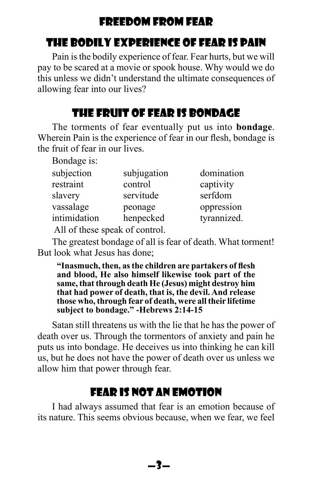# <span id="page-4-0"></span>The Bodily Experience of Fear is Pain

Pain is the bodily experience of fear. Fear hurts, but we will pay to be scared at a movie or spook house. Why would we do this unless we didn't understand the ultimate consequences of allowing fear into our lives?

# The Fruit of Fear is Bondage

The torments of fear eventually put us into **bondage**. Wherein Pain is the experience of fear in our flesh, bondage is the fruit of fear in our lives.

Bondage is:

| subjection   | subjugation | domination  |
|--------------|-------------|-------------|
| restraint    | control     | captivity   |
| slavery      | servitude   | serfdom     |
| vassalage    | peonage     | oppression  |
| intimidation | henpecked   | tyrannized. |

All of these speak of control.

The greatest bondage of all is fear of death. What torment! But look what Jesus has done;

**"Inasmuch, then, as the children are partakers of flesh and blood, He also himself likewise took part of the same, that through death He (Jesus) might destroy him that had power of death, that is, the devil. And release those who, through fear of death, were all their lifetime subject to bondage." -Hebrews 2:14-15**

Satan still threatens us with the lie that he has the power of death over us. Through the tormentors of anxiety and pain he puts us into bondage. He deceives us into thinking he can kill us, but he does not have the power of death over us unless we allow him that power through fear.

# Fear is Not an Emotion

I had always assumed that fear is an emotion because of its nature. This seems obvious because, when we fear, we feel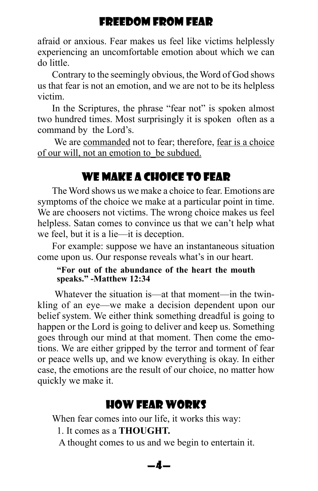<span id="page-5-0"></span>afraid or anxious. Fear makes us feel like victims helplessly experiencing an uncomfortable emotion about which we can do little.

Contrary to the seemingly obvious, the Word of God shows us that fear is not an emotion, and we are not to be its helpless victim.

In the Scriptures, the phrase "fear not" is spoken almost two hundred times. Most surprisingly it is spoken often as a command by the Lord's.

 We are commanded not to fear; therefore, fear is a choice of our will, not an emotion to\_be subdued.

# WE MAKE A CHOICE TO FFAR

The Word shows us we make a choice to fear. Emotions are symptoms of the choice we make at a particular point in time. We are choosers not victims. The wrong choice makes us feel helpless. Satan comes to convince us that we can't help what we feel, but it is a lie—it is deception.

For example: suppose we have an instantaneous situation come upon us. Our response reveals what's in our heart.

#### **"For out of the abundance of the heart the mouth speaks." -Matthew 12:34**

 Whatever the situation is—at that moment—in the twinkling of an eye—we make a decision dependent upon our belief system. We either think something dreadful is going to happen or the Lord is going to deliver and keep us. Something goes through our mind at that moment. Then come the emotions. We are either gripped by the terror and torment of fear or peace wells up, and we know everything is okay. In either case, the emotions are the result of our choice, no matter how quickly we make it.

# How Fear Works

When fear comes into our life, it works this way:

1. It comes as a **THOUGHT.**

A thought comes to us and we begin to entertain it.

#### —4—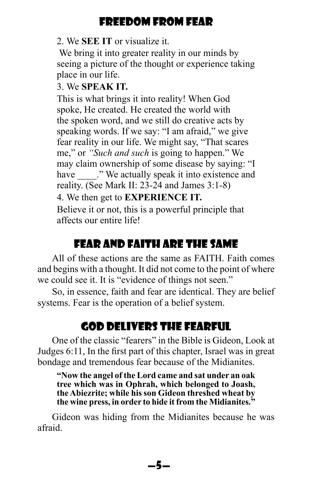#### <span id="page-6-0"></span>2. We **SEE IT** or visualize it.

We bring it into greater reality in our minds by seeing a picture of the thought or experience taking place in our life.

#### 3. We **SPEAK IT.**

This is what brings it into reality! When God spoke, He created. He created the world with the spoken word, and we still do creative acts by speaking words. If we say: "I am afraid," we give fear reality in our life. We might say, "That scares me," or *"Such and such* is going to happen." We may claim ownership of some disease by saying: "I have will be actually speak it into existence and reality. (See Mark II: 23-24 and James 3:1-8) 4. We then get to **EXPERIENCE IT.**

Believe it or not, this is a powerful principle that affects our entire life!

# Fear and Faith are the Same

All of these actions are the same as FAITH. Faith comes and begins with a thought. It did not come to the point of where we could see it. It is "evidence of things not seen."

So, in essence, faith and fear are identical. They are belief systems. Fear is the operation of a belief system.

# God Delivers the Fearful

One of the classic "fearers" in the Bible is Gideon, Look at Judges 6:11, In the first part of this chapter, Israel was in great bondage and tremendous fear because of the Midianites.

**"Now the angel of the Lord came and sat under an oak tree which was in Ophrah, which belonged to Joash, the Abiezrite; while his son Gideon threshed wheat by the wine press, in order to hide it from the Midianites."**

Gideon was hiding from the Midianites because he was afraid.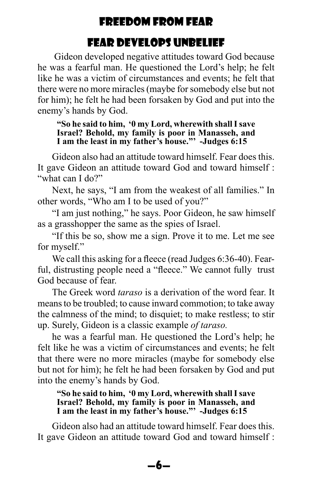# Fear Develops Unbelief

<span id="page-7-0"></span> Gideon developed negative attitudes toward God because he was a fearful man. He questioned the Lord's help; he felt like he was a victim of circumstances and events; he felt that there were no more miracles (maybe for somebody else but not for him); he felt he had been forsaken by God and put into the enemy's hands by God.

#### **"So he said to him, '0 my Lord, wherewith shall I save Israel? Behold, my family is poor in Manasseh, and I am the least in my father's house."' -Judges 6:15**

Gideon also had an attitude toward himself. Fear does this. It gave Gideon an attitude toward God and toward himself : "what can I do?"

Next, he says, "I am from the weakest of all families." In other words, "Who am I to be used of you?"

"I am just nothing," he says. Poor Gideon, he saw himself as a grasshopper the same as the spies of Israel.

"If this be so, show me a sign. Prove it to me. Let me see for myself."

We call this asking for a fleece (read Judges 6:36-40). Fearful, distrusting people need a "fleece." We cannot fully trust God because of fear.

The Greek word *taraso* is a derivation of the word fear. It means to be troubled; to cause inward commotion; to take away the calmness of the mind; to disquiet; to make restless; to stir up. Surely, Gideon is a classic example *of taraso.*

he was a fearful man. He questioned the Lord's help; he felt like he was a victim of circumstances and events; he felt that there were no more miracles (maybe for somebody else but not for him); he felt he had been forsaken by God and put into the enemy's hands by God.

**"So he said to him, '0 my Lord, wherewith shall I save Israel? Behold, my family is poor in Manasseh, and I am the least in my father's house."' -Judges 6:15**

Gideon also had an attitude toward himself. Fear does this. It gave Gideon an attitude toward God and toward himself :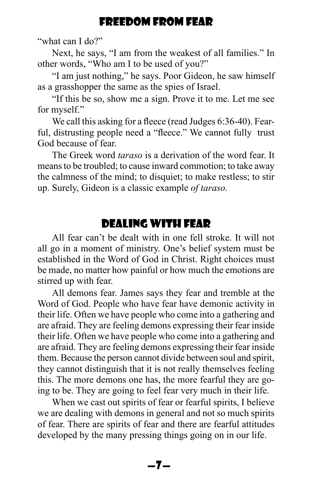<span id="page-8-0"></span>"what can I do?"

Next, he says, "I am from the weakest of all families." In other words, "Who am I to be used of you?"

"I am just nothing," he says. Poor Gideon, he saw himself as a grasshopper the same as the spies of Israel.

"If this be so, show me a sign. Prove it to me. Let me see for myself."

We call this asking for a fleece (read Judges 6:36-40). Fearful, distrusting people need a "fleece." We cannot fully trust God because of fear.

The Greek word *taraso* is a derivation of the word fear. It means to be troubled; to cause inward commotion; to take away the calmness of the mind; to disquiet; to make restless; to stir up. Surely, Gideon is a classic example *of taraso.*

# Dealing with Fear

All fear can't be dealt with in one fell stroke. It will not all go in a moment of ministry. One's belief system must be established in the Word of God in Christ. Right choices must be made, no matter how painful or how much the emotions are stirred up with fear.

All demons fear. James says they fear and tremble at the Word of God. People who have fear have demonic activity in their life. Often we have people who come into a gathering and are afraid. They are feeling demons expressing their fear inside their life. Often we have people who come into a gathering and are afraid. They are feeling demons expressing their fear inside them. Because the person cannot divide between soul and spirit, they cannot distinguish that it is not really themselves feeling this. The more demons one has, the more fearful they are going to be. They are going to feel fear very much in their life.

When we cast out spirits of fear or fearful spirits, I believe we are dealing with demons in general and not so much spirits of fear. There are spirits of fear and there are fearful attitudes developed by the many pressing things going on in our life.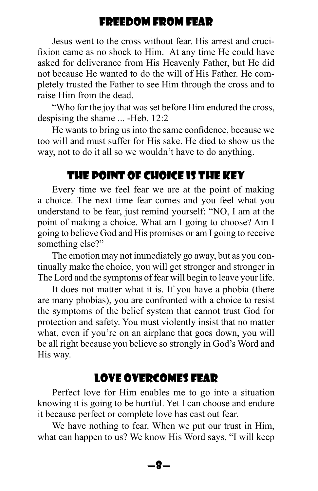<span id="page-9-0"></span>Jesus went to the cross without fear. His arrest and crucifixion came as no shock to Him. At any time He could have asked for deliverance from His Heavenly Father, but He did not because He wanted to do the will of His Father. He completely trusted the Father to see Him through the cross and to raise Him from the dead.

"Who for the joy that was set before Him endured the cross, despising the shame ... -Heb. 12:2

He wants to bring us into the same confidence, because we too will and must suffer for His sake. He died to show us the way, not to do it all so we wouldn't have to do anything.

# The Point of Choice is the Key

Every time we feel fear we are at the point of making a choice. The next time fear comes and you feel what you understand to be fear, just remind yourself: "NO, I am at the point of making a choice. What am I going to choose? Am I going to believe God and His promises or am I going to receive something else?"

The emotion may not immediately go away, but as you continually make the choice, you will get stronger and stronger in The Lord and the symptoms of fear will begin to leave your life.

It does not matter what it is. If you have a phobia (there are many phobias), you are confronted with a choice to resist the symptoms of the belief system that cannot trust God for protection and safety. You must violently insist that no matter what, even if you're on an airplane that goes down, you will be all right because you believe so strongly in God's Word and His way.

# Love Overcomes Fear

Perfect love for Him enables me to go into a situation knowing it is going to be hurtful. Yet I can choose and endure it because perfect or complete love has cast out fear.

We have nothing to fear. When we put our trust in Him, what can happen to us? We know His Word says, "I will keep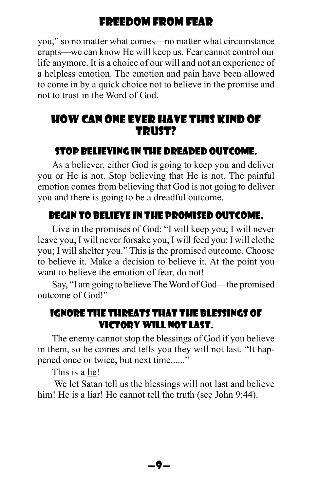<span id="page-10-0"></span>you," so no matter what comes—no matter what circumstance erupts—we can know He will keep us. Fear cannot control our life anymore. It is a choice of our will and not an experience of a helpless emotion. The emotion and pain have been allowed to come in by a quick choice not to believe in the promise and not to trust in the Word of God.

# How can one ever have this kind of trust?

#### STOP BELIEVING IN THE DREADED OUTCOME.

As a believer, either God is going to keep you and deliver you or He is not. Stop believing that He is not. The painful emotion comes from believing that God is not going to deliver you and there is going to be a dreadful outcome.

## BEGIN TO BELIEVE IN THE PROMISED OUTCOME.

Live in the promises of God: "I will keep you; I will never leave you; I will never forsake you; I will feed you; I will clothe you; I will shelter you." This is the promised outcome. Choose to believe it. Make a decision to believe it. At the point you want to believe the emotion of fear, do not!

Say, "I am going to believe The Word of God—the promised outcome of God!"

#### IGNORE THE THREATS THAT THE BLESSINGS OF VICTORY WILL NOT LAST.

The enemy cannot stop the blessings of God if you believe in them, so he comes and tells you they will not last. "It happened once or twice, but next time......"

This is a lie!

 We let Satan tell us the blessings will not last and believe him! He is a liar! He cannot tell the truth (see John 9:44).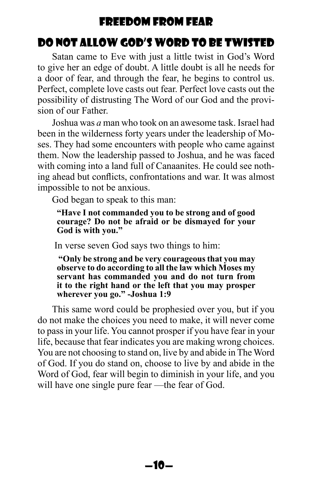# <span id="page-11-0"></span>Do Not Allow God's Word to be Twisted

Satan came to Eve with just a little twist in God's Word to give her an edge of doubt. A little doubt is all he needs for a door of fear, and through the fear, he begins to control us. Perfect, complete love casts out fear. Perfect love casts out the possibility of distrusting The Word of our God and the provision of our Father.

Joshua was *a* man who took on an awesome task. Israel had been in the wilderness forty years under the leadership of Moses. They had some encounters with people who came against them. Now the leadership passed to Joshua, and he was faced with coming into a land full of Canaanites. He could see nothing ahead but conflicts, confrontations and war. It was almost impossible to not be anxious.

God began to speak to this man:

**"Have I not commanded you to be strong and of good courage? Do not be afraid or be dismayed for your God is with you."**

In verse seven God says two things to him:

 **"Only be strong and be very courageous that you may observe to do according to all the law which Moses my servant has commanded you and do not turn from it to the right hand or the left that you may prosper wherever you go." -Joshua 1:9**

This same word could be prophesied over you, but if you do not make the choices you need to make, it will never come to pass in your life. You cannot prosper if you have fear in your life, because that fear indicates you are making wrong choices. You are not choosing to stand on, live by and abide in The Word of God. If you do stand on, choose to live by and abide in the Word of God, fear will begin to diminish in your life, and you will have one single pure fear —the fear of God.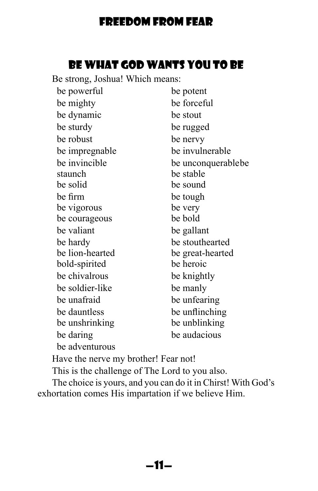# Be What God Wants You to be

<span id="page-12-0"></span>Be strong, Joshua! Which means:

| be powerful     | be potent          |
|-----------------|--------------------|
| be mighty       | be forceful        |
| be dynamic      | be stout           |
| be sturdy       | be rugged          |
| be robust       | be nervy           |
| be impregnable  | be invulnerable    |
| be invincible   | be unconquerablebe |
| staunch         | be stable          |
| be solid        | be sound           |
| be firm         | be tough           |
| be vigorous     | be very            |
| be courageous   | be bold            |
| be valiant      | be gallant         |
| be hardy        | be stouthearted    |
| be lion-hearted | be great-hearted   |
| bold-spirited   | be heroic          |
| be chivalrous   | be knightly        |
| be soldier-like | be manly           |
| be unafraid     | be unfearing       |
| be dauntless    | be unflinching     |
| be unshrinking  | be unblinking      |
| be daring       | be audacious       |
| be adventurous  |                    |

Have the nerve my brother! Fear not!

This is the challenge of The Lord to you also.

The choice is yours, and you can do it in Chirst! With God's exhortation comes His impartation if we believe Him.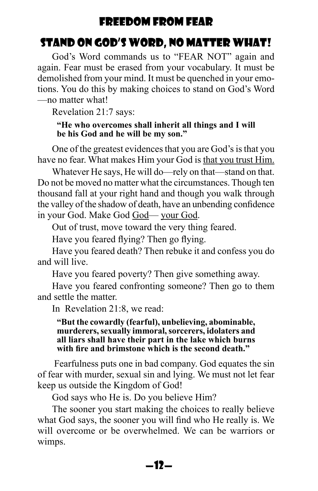# <span id="page-13-0"></span>Stand on God's Word, No Matter What!

God's Word commands us to "FEAR NOT" again and again. Fear must be erased from your vocabulary. It must be demolished from your mind. It must be quenched in your emotions. You do this by making choices to stand on God's Word —no matter what!

Revelation 21:7 says:

#### **"He who overcomes shall inherit all things and I will be his God and he will be my son."**

One of the greatest evidences that you are God's is that you have no fear. What makes Him your God is that you trust Him.

Whatever He says, He will do—rely on that—stand on that. Do not be moved no matter what the circumstances. Though ten thousand fall at your right hand and though you walk through the valley of the shadow of death, have an unbending confidence in your God. Make God God— your God.

Out of trust, move toward the very thing feared.

Have you feared flying? Then go flying.

Have you feared death? Then rebuke it and confess you do and will live.

Have you feared poverty? Then give something away.

Have you feared confronting someone? Then go to them and settle the matter.

In Revelation 21:8, we read:

#### **"But the cowardly (fearful), unbelieving, abominable, murderers, sexually immoral, sorcerers, idolaters and all liars shall have their part in the lake which burns with fire and brimstone which is the second death."**

 Fearfulness puts one in bad company. God equates the sin of fear with murder, sexual sin and lying. We must not let fear keep us outside the Kingdom of God!

God says who He is. Do you believe Him?

The sooner you start making the choices to really believe what God says, the sooner you will find who He really is. We will overcome or be overwhelmed. We can be warriors or wimps.